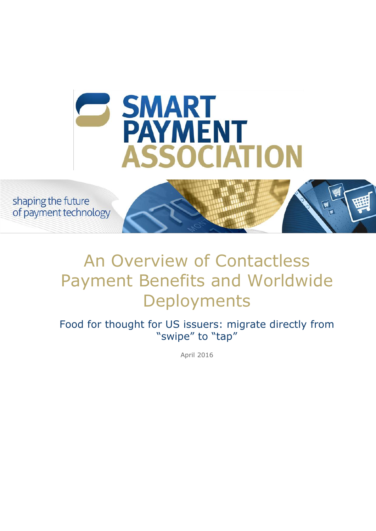

shaping the future of payment technology

# An Overview of Contactless Payment Benefits and Worldwide **Deployments**

Food for thought for US issuers: migrate directly from "swipe" to "tap"

April 2016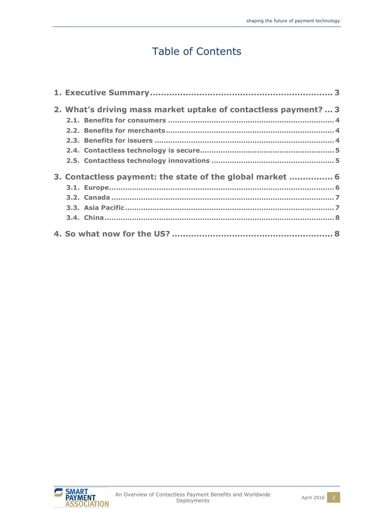# Table of Contents

| 2. What's driving mass market uptake of contactless payment?  3 |  |
|-----------------------------------------------------------------|--|
|                                                                 |  |
|                                                                 |  |
|                                                                 |  |
|                                                                 |  |
|                                                                 |  |
| 3. Contactless payment: the state of the global market  6       |  |
|                                                                 |  |
|                                                                 |  |
|                                                                 |  |
|                                                                 |  |
|                                                                 |  |

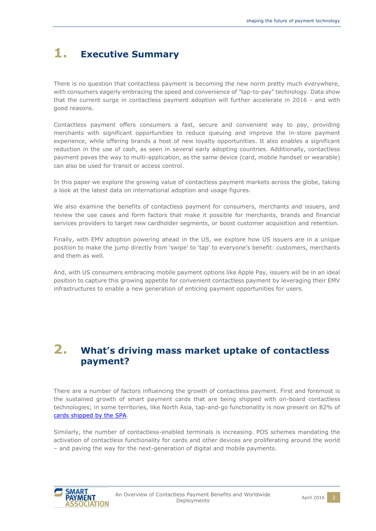# <span id="page-2-0"></span>**1. Executive Summary**

There is no question that contactless payment is becoming the new norm pretty much everywhere, with consumers eagerly embracing the speed and convenience of "tap-to-pay" technology. Data show that the current surge in contactless payment adoption will further accelerate in 2016 - and with good reasons.

Contactless payment offers consumers a fast, secure and convenient way to pay, providing merchants with significant opportunities to reduce queuing and improve the in-store payment experience, while offering brands a host of new loyalty opportunities. It also enables a significant reduction in the use of cash, as seen in several early adopting countries. Additionally, contactless payment paves the way to multi-application, as the same device (card, mobile handset or wearable) can also be used for transit or access control.

In this paper we explore the growing value of contactless payment markets across the globe, taking a look at the latest data on international adoption and usage figures.

We also examine the benefits of contactless payment for consumers, merchants and issuers, and review the use cases and form factors that make it possible for merchants, brands and financial services providers to target new cardholder segments, or boost customer acquisition and retention.

Finally, with EMV adoption powering ahead in the US, we explore how US issuers are in a unique position to make the jump directly from 'swipe' to 'tap' to everyone's benefit: customers, merchants and them as well.

And, with US consumers embracing mobile payment options like Apple Pay, issuers will be in an ideal position to capture this growing appetite for convenient contactless payment by leveraging their EMV infrastructures to enable a new generation of enticing payment opportunities for users.

# <span id="page-2-1"></span>**2. What's driving mass market uptake of contactless payment?**

There are a number of factors influencing the growth of contactless payment. First and foremost is the sustained growth of smart payment cards that are being shipped with on-board contactless technologies; in some territories, like North Asia, tap-and-go functionality is now present on 82% of [cards shipped by the SPA.](http://www.smartpaymentassociation.com/en/news_events/latest_news/smart-payment-association-releases-2015-smart-paym_inhmo4ui.html)

Similarly, the number of contactless-enabled terminals is increasing. POS schemes mandating the activation of contactless functionality for cards and other devices are proliferating around the world – and paving the way for the next-generation of digital and mobile payments.

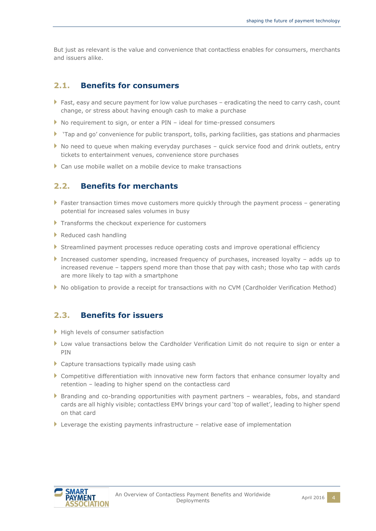But just as relevant is the value and convenience that contactless enables for consumers, merchants and issuers alike.

#### <span id="page-3-0"></span>**2.1. Benefits for consumers**

- Fast, easy and secure payment for low value purchases  $-$  eradicating the need to carry cash, count change, or stress about having enough cash to make a purchase
- ▶ No requirement to sign, or enter a PIN ideal for time-pressed consumers
- 'Tap and go' convenience for public transport, tolls, parking facilities, gas stations and pharmacies
- $\blacktriangleright$  No need to queue when making everyday purchases quick service food and drink outlets, entry tickets to entertainment venues, convenience store purchases
- <span id="page-3-1"></span>Can use mobile wallet on a mobile device to make transactions

### **2.2. Benefits for merchants**

- Faster transaction times move customers more quickly through the payment process generating potential for increased sales volumes in busy
- Transforms the checkout experience for customers
- Reduced cash handling
- Streamlined payment processes reduce operating costs and improve operational efficiency
- Increased customer spending, increased frequency of purchases, increased loyalty adds up to increased revenue – tappers spend more than those that pay with cash; those who tap with cards are more likely to tap with a smartphone
- No obligation to provide a receipt for transactions with no CVM (Cardholder Verification Method)

### <span id="page-3-2"></span>**2.3. Benefits for issuers**

- High levels of consumer satisfaction
- Low value transactions below the Cardholder Verification Limit do not require to sign or enter a PIN
- Capture transactions typically made using cash
- Competitive differentiation with innovative new form factors that enhance consumer loyalty and retention – leading to higher spend on the contactless card
- Branding and co-branding opportunities with payment partners wearables, fobs, and standard cards are all highly visible; contactless EMV brings your card 'top of wallet', leading to higher spend on that card
- $\blacktriangleright$  Leverage the existing payments infrastructure relative ease of implementation

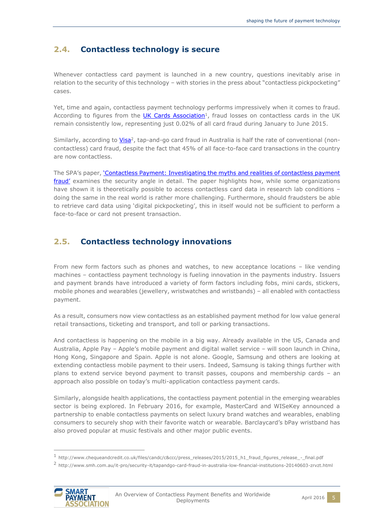### <span id="page-4-0"></span>**2.4. Contactless technology is secure**

Whenever contactless card payment is launched in a new country, questions inevitably arise in relation to the security of this technology – with stories in the press about "contactless pickpocketing" cases.

Yet, time and again, contactless payment technology performs impressively when it comes to fraud. According to figures from the *UK Cards Association<sup>1</sup>*, fraud losses on contactless cards in the UK remain consistently low, representing just 0.02% of all card fraud during January to June 2015.

Similarly, according to *Visa<sup>2</sup>*, tap-and-go card fraud in Australia is half the rate of conventional (noncontactless) card fraud, despite the fact that 45% of all face-to-face card transactions in the country are now contactless.

The SPA's paper, '[Contactless Payment: Investigating the myths and realities of contactless payment](http://www.smartpaymentassociation.com/en/publications_001/position_papers/investigating-the-myths-and-realities-of-contactle_hjpmf1uq.html)  [fraud'](http://www.smartpaymentassociation.com/en/publications_001/position_papers/investigating-the-myths-and-realities-of-contactle_hjpmf1uq.html) examines the security angle in detail. The paper highlights how, while some organizations have shown it is theoretically possible to access contactless card data in research lab conditions doing the same in the real world is rather more challenging. Furthermore, should fraudsters be able to retrieve card data using 'digital pickpocketing', this in itself would not be sufficient to perform a face-to-face or card not present transaction.

## <span id="page-4-1"></span>**2.5. Contactless technology innovations**

From new form factors such as phones and watches, to new acceptance locations – like vending machines – contactless payment technology is fueling innovation in the payments industry. Issuers and payment brands have introduced a variety of form factors including fobs, mini cards, stickers, mobile phones and wearables (jewellery, wristwatches and wristbands) – all enabled with contactless payment.

As a result, consumers now view contactless as an established payment method for low value general retail transactions, ticketing and transport, and toll or parking transactions.

And contactless is happening on the mobile in a big way. Already available in the US, Canada and Australia, Apple Pay – Apple's mobile payment and digital wallet service – will soon launch in China, Hong Kong, Singapore and Spain. Apple is not alone. Google, Samsung and others are looking at extending contactless mobile payment to their users. Indeed, Samsung is taking things further with plans to extend service beyond payment to transit passes, coupons and membership cards – an approach also possible on today's multi-application contactless payment cards.

Similarly, alongside health applications, the contactless payment potential in the emerging wearables sector is being explored. In February 2016, for example, MasterCard and WISeKey announced a partnership to enable contactless payments on select luxury brand watches and wearables, enabling consumers to securely shop with their favorite watch or wearable. Barclaycard's bPay wristband has also proved popular at music festivals and other major public events.

<sup>2</sup> http://www.smh.com.au/it-pro/security-it/tapandgo-card-fraud-in-australia-low-financial-institutions-20140603-zrvzt.html



<sup>1</sup> http://www.chequeandcredit.co.uk/files/candc/c&ccc/press\_releases/2015/2015\_h1\_fraud\_figures\_release\_-\_final.pdf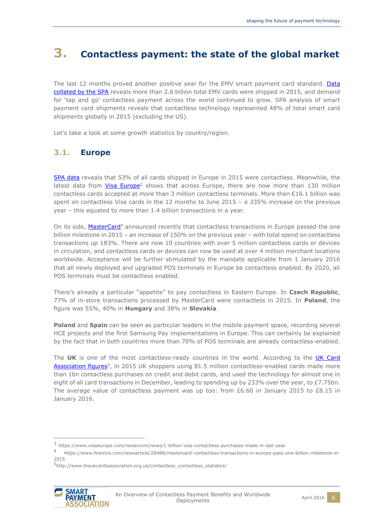# <span id="page-5-0"></span>**3. Contactless payment: the state of the global market**

The last 12 months proved another positive year for the EMV smart payment card standard. Data [collated by the SPA](http://www.smartpaymentassociation.com/en/news_events/latest_news/smart-payment-association-releases-2015-smart-paym_inhmo4ui.html) reveals more than 2.6 billion total EMV cards were shipped in 2015, and demand for 'tap and go' contactless payment across the world continued to grow. SPA analysis of smart payment card shipments reveals that contactless technology represented 48% of total smart card shipments globally in 2015 (excluding the US).

<span id="page-5-1"></span>Let's take a look at some growth statistics by country/region.

### **3.1. Europe**

[SPA data](http://www.smartpaymentassociation.com/en/news_events/latest_news/smart-payment-association-releases-2015-smart-paym_inhmo4ui.html) reveals that 53% of all cards shipped in Europe in 2015 were contactless. Meanwhile, the latest data from [Visa Europe](https://www.visaeurope.com/newsroom/news/1-billion-visa-contactless-purchases-made-in-last-year)<sup>3</sup> shows that across Europe, there are now more than 130 million contactless cards accepted at more than 3 million contactless terminals. More than  $E16.1$  billion was spent on contactless Visa cards in the 12 months to June 2015 – a 335% increase on the previous year – this equated to more than 1.4 billion transactions in a year.

On its side, [MasterCard](https://www.finextra.com/newsarticle/28488/mastercard-contactless-transactions-in-europe-pass-one-billion-milestone-in-2015)<sup>4</sup> announced recently that contactless transactions in Europe passed the one billion milestone in 2015 – an increase of 150% on the previous year – with total spend on contactless transactions up 183%. There are now 10 countries with over 5 million contactless cards or devices in circulation, and contactless cards or devices can now be used at over 4 million merchant locations worldwide. Acceptance will be further stimulated by the mandate applicable from 1 January 2016 that all newly deployed and upgraded POS terminals in Europe be contactless enabled. By 2020, all POS terminals must be contactless enabled.

There's already a particular "appetite" to pay contactless in Eastern Europe. In **Czech Republic**, 77% of in-store transactions processed by MasterCard were contactless in 2015. In **Poland**, the figure was 55%, 40% in **Hungary** and 38% in **Slovakia**.

**Poland** and **Spain** can be seen as particular leaders in the mobile payment space, recording several HCE projects and the first Samsung Pay implementations in Europe. This can certainly be explained by the fact that in both countries more than 70% of POS terminals are already contactless-enabled.

The **UK** is one of the most contactless-ready countries in the world. According to the [UK Card](http://www.theukcardsassociation.org.uk/contactless_contactless_statistics/)  [Association figures](http://www.theukcardsassociation.org.uk/contactless_contactless_statistics/)<sup>5</sup>, in 2015 UK shoppers using 81.5 million contactless-enabled cards made more than 1bn contactless purchases on credit and debit cards, and used the technology for almost one in eight of all card transactions in December, leading to spending up by 233% over the year, to £7.75bn. The average value of contactless payment was up too: from £6.60 in January 2015 to £8.15 in January 2016.

<sup>5</sup>http://www.theukcardsassociation.org.uk/contactless\_contactless\_statistics/



<sup>3</sup> https://www.visaeurope.com/newsroom/news/1-billion-visa-contactless-purchases-made-in-last-year

<sup>4</sup> https://www.finextra.com/newsarticle/28488/mastercard-contactless-transactions-in-europe-pass-one-billion-milestone-in-2015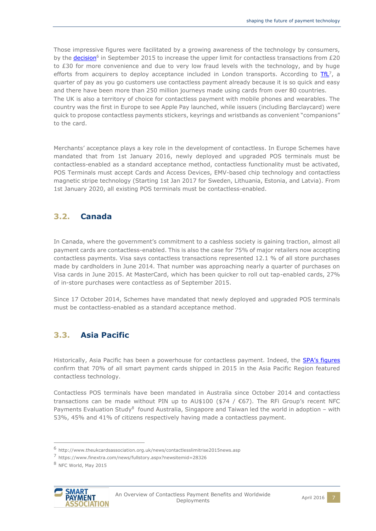Those impressive figures were facilitated by a growing awareness of the technology by consumers, by the **decision**<sup>6</sup> in September 2015 to increase the upper limit for contactless transactions from £20 to £30 for more convenience and due to very low fraud levels with the technology, and by huge efforts from acquirers to deploy acceptance included in London transports. According to  $\frac{TfL}{r}$ , a quarter of pay as you go customers use contactless payment already because it is so quick and easy and there have been more than 250 million journeys made using cards from over 80 countries. The UK is also a territory of choice for contactless payment with mobile phones and wearables. The country was the first in Europe to see Apple Pay launched, while issuers (including Barclaycard) were quick to propose contactless payments stickers, keyrings and wristbands as convenient "companions" to the card.

Merchants' acceptance plays a key role in the development of contactless. In Europe Schemes have mandated that from 1st January 2016, newly deployed and upgraded POS terminals must be contactless-enabled as a standard acceptance method, contactless functionality must be activated, POS Terminals must accept Cards and Access Devices, EMV-based chip technology and contactless magnetic stripe technology (Starting 1st Jan 2017 for Sweden, Lithuania, Estonia, and Latvia). From 1st January 2020, all existing POS terminals must be contactless-enabled.

#### <span id="page-6-0"></span>**3.2. Canada**

In Canada, where the government's commitment to a cashless society is gaining traction, almost all payment cards are contactless-enabled. This is also the case for 75% of major retailers now accepting contactless payments. Visa says contactless transactions represented 12.1 % of all store purchases made by cardholders in June 2014. That number was approaching nearly a quarter of purchases on Visa cards in June 2015. At MasterCard, which has been quicker to roll out tap-enabled cards, 27% of in-store purchases were contactless as of September 2015.

Since 17 October 2014, Schemes have mandated that newly deployed and upgraded POS terminals must be contactless-enabled as a standard acceptance method.

### <span id="page-6-1"></span>**3.3. Asia Pacific**

Historically, Asia Pacific has been a powerhouse for contactless payment. Indeed, the **[SPA's figures](http://www.smartpaymentassociation.com/en/news_events/latest_news/smart-payment-association-releases-2015-smart-paym_inhmo4ui.html)** confirm that 70% of all smart payment cards shipped in 2015 in the Asia Pacific Region featured contactless technology.

Contactless POS terminals have been mandated in Australia since October 2014 and contactless transactions can be made without PIN up to AU\$100 (\$74 /  $€67$ ). The RFi Group's recent NFC Payments Evaluation Study<sup>8</sup> found Australia, Singapore and Taiwan led the world in adoption - with 53%, 45% and 41% of citizens respectively having made a contactless payment.



<sup>6</sup> http://www.theukcardsassociation.org.uk/news/contactlesslimitrise2015news.asp

<sup>7</sup> https://www.finextra.com/news/fullstory.aspx?newsitemid=28326

<sup>8</sup> NFC World, May 2015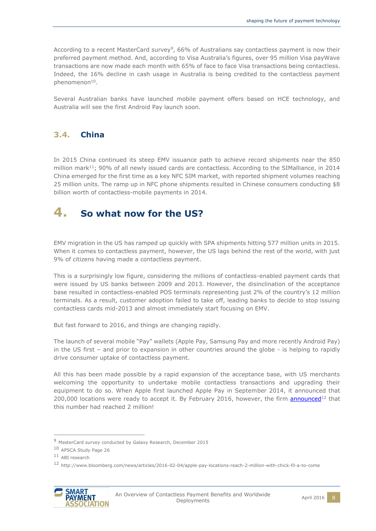According to a recent MasterCard survey<sup>9</sup>, 66% of Australians say contactless payment is now their preferred payment method. And, according to Visa Australia's figures, over 95 million Visa payWave transactions are now made each month with 65% of face to face Visa transactions being contactless. Indeed, the 16% decline in cash usage in Australia is being credited to the contactless payment phenomenon<sup>10</sup>.

Several Australian banks have launched mobile payment offers based on HCE technology, and Australia will see the first Android Pay launch soon.

### <span id="page-7-0"></span>**3.4. China**

In 2015 China continued its steep EMV issuance path to achieve record shipments near the 850 million mark<sup>11</sup>; 90% of all newly issued cards are contactless. According to the SIMalliance, in 2014 China emerged for the first time as a key NFC SIM market, with reported shipment volumes reaching 25 million units. The ramp up in NFC phone shipments resulted in Chinese consumers conducting \$8 billion worth of contactless-mobile payments in 2014.

# <span id="page-7-1"></span>**4. So what now for the US?**

EMV migration in the US has ramped up quickly with SPA shipments hitting 577 million units in 2015. When it comes to contactless payment, however, the US lags behind the rest of the world, with just 9% of citizens having made a contactless payment.

This is a surprisingly low figure, considering the millions of contactless-enabled payment cards that were issued by US banks between 2009 and 2013. However, the disinclination of the acceptance base resulted in contactless-enabled POS terminals representing just 2% of the country's 12 million terminals. As a result, customer adoption failed to take off, leading banks to decide to stop issuing contactless cards mid-2013 and almost immediately start focusing on EMV.

But fast forward to 2016, and things are changing rapidly.

The launch of several mobile "Pay" wallets (Apple Pay, Samsung Pay and more recently Android Pay) in the US first – and prior to expansion in other countries around the globe - is helping to rapidly drive consumer uptake of contactless payment.

All this has been made possible by a rapid expansion of the acceptance base, with US merchants welcoming the opportunity to undertake mobile contactless transactions and upgrading their equipment to do so. When Apple first launched Apple Pay in September 2014, it announced that 200,000 locations were ready to accept it. By February 2016, however, the firm **announced**<sup>12</sup> that this number had reached 2 million!

<sup>12</sup> http://www.bloomberg.com/news/articles/2016-02-04/apple-pay-locations-reach-2-million-with-chick-fil-a-to-come



<sup>9</sup> MasterCard survey conducted by Galaxy Research, December 2015

<sup>10</sup> APSCA Study Page 26

<sup>11</sup> ABI research